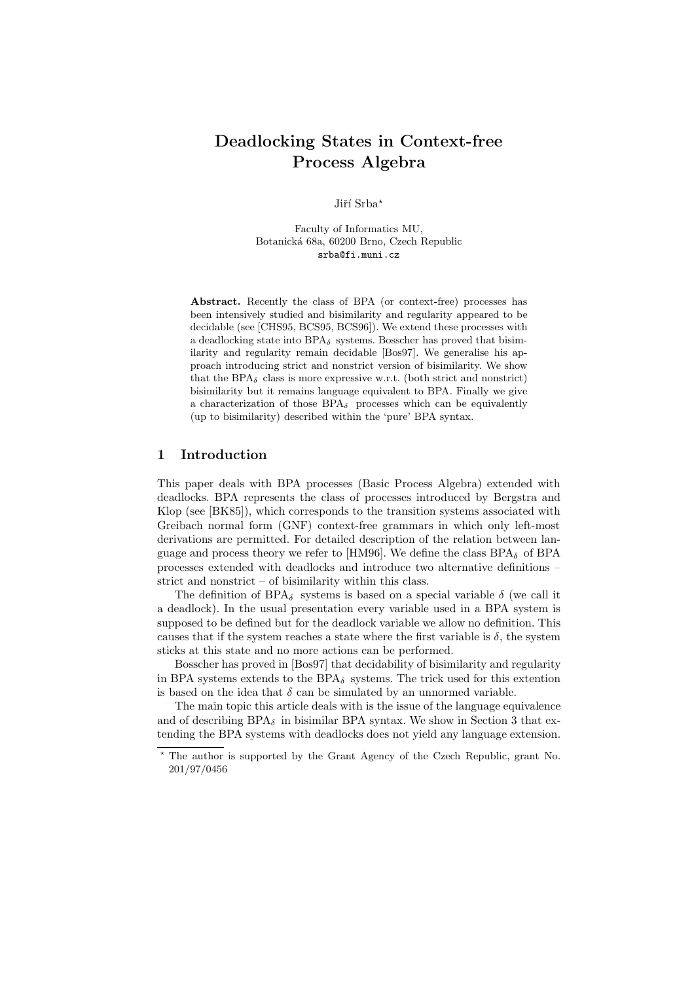# **Deadlocking States in Context-free Process Algebra**

Jiří Srba\*

Faculty of Informatics MU, Botanická 68a, 60200 Brno, Czech Republic srba@fi.muni.cz

**Abstract.** Recently the class of BPA (or context-free) processes has been intensively studied and bisimilarity and regularity appeared to be decidable (see [CHS95, BCS95, BCS96]). We extend these processes with a deadlocking state into  $BPA_{\delta}$  systems. Bosscher has proved that bisimilarity and regularity remain decidable [Bos97]. We generalise his approach introducing strict and nonstrict version of bisimilarity. We show that the BPA $_{\delta}$  class is more expressive w.r.t. (both strict and nonstrict) bisimilarity but it remains language equivalent to BPA. Finally we give a characterization of those  $BPA_{\delta}$  processes which can be equivalently (up to bisimilarity) described within the 'pure' BPA syntax.

# **1 Introduction**

This paper deals with BPA processes (Basic Process Algebra) extended with deadlocks. BPA represents the class of processes introduced by Bergstra and Klop (see [BK85]), which corresponds to the transition systems associated with Greibach normal form (GNF) context-free grammars in which only left-most derivations are permitted. For detailed description of the relation between language and process theory we refer to [HM96]. We define the class  $BPA_{\delta}$  of BPA processes extended with deadlocks and introduce two alternative definitions – strict and nonstrict – of bisimilarity within this class.

The definition of BPA<sub>δ</sub> systems is based on a special variable  $\delta$  (we call it a deadlock). In the usual presentation every variable used in a BPA system is supposed to be defined but for the deadlock variable we allow no definition. This causes that if the system reaches a state where the first variable is  $\delta$ , the system sticks at this state and no more actions can be performed.

Bosscher has proved in [Bos97] that decidability of bisimilarity and regularity in BPA systems extends to the  $BPA_{\delta}$  systems. The trick used for this extention is based on the idea that  $\delta$  can be simulated by an unnormed variable.

The main topic this article deals with is the issue of the language equivalence and of describing  $BPA_{\delta}$  in bisimilar BPA syntax. We show in Section 3 that extending the BPA systems with deadlocks does not yield any language extension.

<sup>?</sup> The author is supported by the Grant Agency of the Czech Republic, grant No. 201/97/0456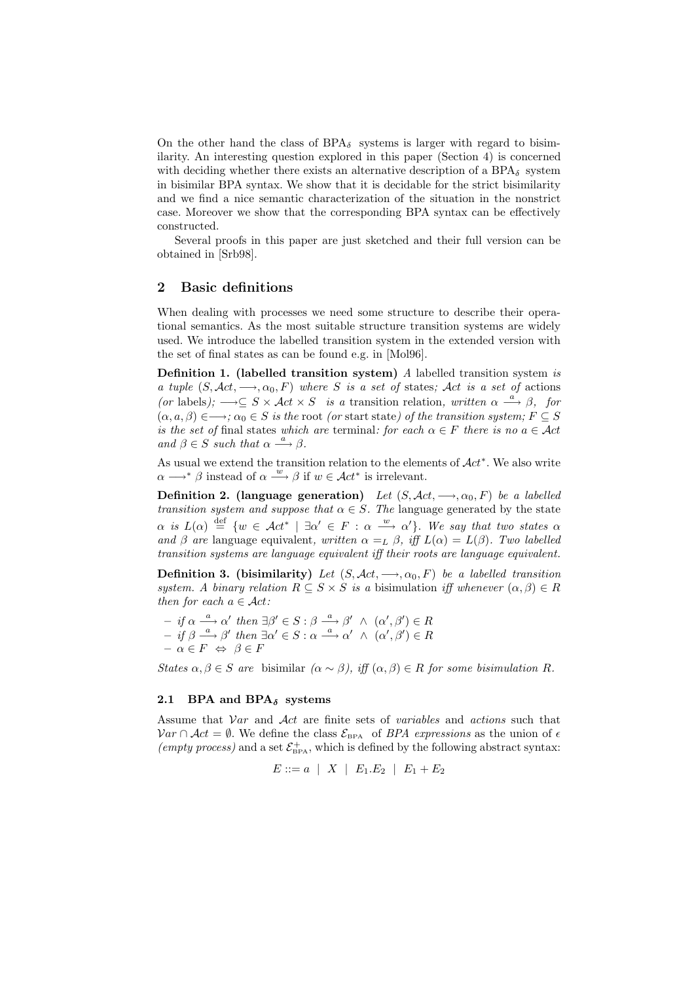On the other hand the class of  $BPA_{\delta}$  systems is larger with regard to bisimilarity. An interesting question explored in this paper (Section 4) is concerned with deciding whether there exists an alternative description of a  $BPA_{\delta}$  system in bisimilar BPA syntax. We show that it is decidable for the strict bisimilarity and we find a nice semantic characterization of the situation in the nonstrict case. Moreover we show that the corresponding BPA syntax can be effectively constructed.

Several proofs in this paper are just sketched and their full version can be obtained in [Srb98].

## **2 Basic definitions**

When dealing with processes we need some structure to describe their operational semantics. As the most suitable structure transition systems are widely used. We introduce the labelled transition system in the extended version with the set of final states as can be found e.g. in [Mol96].

**Definition 1. (labelled transition system)** *A* labelled transition system *is a tuple*  $(S, \mathcal{A}ct, \longrightarrow, \alpha_0, F)$  *where* S *is a set of* states; Act *is a set of* actions  $(or \text{ labels})$ ;  $\longrightarrow \subseteq S \times \mathcal{A}ct \times S$  *is a* transition relation, written  $\alpha \stackrel{a}{\longrightarrow} \beta$ , for  $(\alpha, a, \beta) \in \longrightarrow; \alpha_0 \in S$  *is the* root *(or start state) of the transition system;*  $F \subseteq S$ *is the set of* final states *which are* terminal: for each  $\alpha \in F$  *there is no*  $a \in \mathcal{A}ct$ *and*  $\beta \in S$  *such that*  $\alpha \stackrel{a}{\longrightarrow} \beta$ *.* 

As usual we extend the transition relation to the elements of  $\mathcal{A}ct^*$ . We also write  $\alpha \longrightarrow^* \beta$  instead of  $\alpha \stackrel{w}{\longrightarrow} \beta$  if  $w \in \mathcal{A}ct^*$  is irrelevant.

**Definition 2.** (language generation) *Let*  $(S, \mathcal{A}ct, \longrightarrow, \alpha_0, F)$  *be a labelled transition system and suppose that*  $\alpha \in S$ . The language generated by the state  $\alpha$  is  $L(\alpha) \stackrel{\text{def}}{=} \{w \in \mathcal{A}ct^* \mid \exists \alpha' \in F : \alpha \stackrel{w}{\longrightarrow} \alpha'\}.$  We say that two states  $\alpha$ *and*  $\beta$  *are* language equivalent, written  $\alpha =_L \beta$ , iff  $L(\alpha) = L(\beta)$ . Two labelled *transition systems are language equivalent iff their roots are language equivalent.*

**Definition 3. (bisimilarity)** *Let*  $(S, \mathcal{A}ct, \longrightarrow, \alpha_0, F)$  *be a labelled transition system. A binary relation*  $R \subseteq S \times S$  *is a bisimulation iff whenever*  $(\alpha, \beta) \in R$ *then for each* a ∈ Act*:*

 $- if \alpha \stackrel{a}{\longrightarrow} \alpha' then \exists \beta' \in S : \beta \stackrel{a}{\longrightarrow} \beta' \land (\alpha', \beta') \in R$  $- if \beta \stackrel{a}{\longrightarrow} \beta' then \exists \alpha' \in S : \alpha \stackrel{a}{\longrightarrow} \alpha' \wedge (\alpha', \beta') \in R$  $\label{eq:3} \begin{array}{l} \mbox{\boldmath$\cdot$} \mbox{\boldmath$\cdot$} \mbox{\boldmath$\cdot$} \mbox{\boldmath$\cdot$} \mbox{\boldmath$\cdot$} \mbox{\boldmath$\cdot$} \mbox{\boldmath$\cdot$} \mbox{\boldmath$\cdot$} \mbox{\boldmath$\cdot$} \mbox{\boldmath$\cdot$} \mbox{\boldmath$\cdot$} \mbox{\boldmath$\cdot$} \mbox{\boldmath$\cdot$} \mbox{\boldmath$\cdot$} \mbox{\boldmath$\cdot$} \mbox{\boldmath$\cdot$} \mbox{\boldmath$\cdot$} \mbox{\boldmath$\cdot$} \mbox{\boldmath$\cdot$} \mbox{\boldmath$\cdot$} \mbox{\boldmath$ 

*States*  $\alpha, \beta \in S$  *are* bisimilar  $(\alpha \sim \beta)$ , *iff*  $(\alpha, \beta) \in R$  *for some bisimulation* R.

#### **2.1 BPA and BPA***<sup>δ</sup>* **systems**

Assume that Var and Act are finite sets of *variables* and *actions* such that  $Var ∩ Act = ∅$ . We define the class  $\mathcal{E}_{BPA}$  of *BPA expressions* as the union of  $\epsilon$ (empty process) and a set  $\mathcal{E}_{\text{BPA}}^{+}$ , which is defined by the following abstract syntax:

$$
E ::= a \mid X \mid E_1.E_2 \mid E_1 + E_2
$$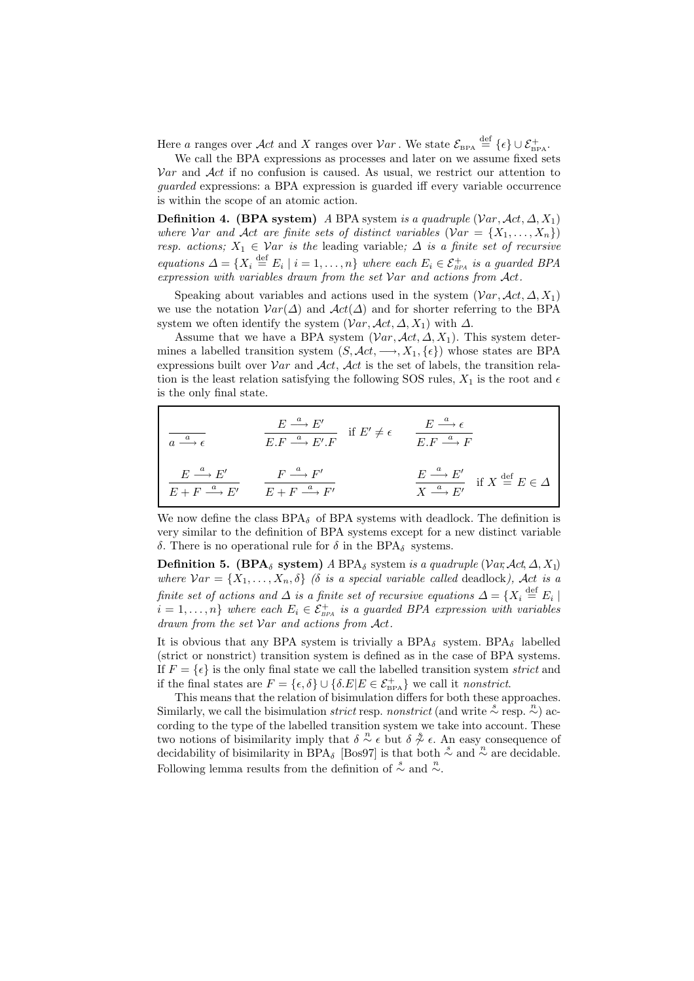Here a ranges over  $\mathcal{A}ct$  and X ranges over  $\mathcal{V}ar$ . We state  $\mathcal{E}_{\texttt{BPA}} \stackrel{\text{def}}{=} \{\epsilon\} \cup \mathcal{E}_{\texttt{BPA}}^+$ .

We call the BPA expressions as processes and later on we assume fixed sets  $Var$  and  $Act$  if no confusion is caused. As usual, we restrict our attention to *guarded* expressions: a BPA expression is guarded iff every variable occurrence is within the scope of an atomic action.

**Definition 4. (BPA system)** *A* BPA system *is a quadruple* ( $Var, \mathcal{A}ct, \Delta, X_1$ ) *where* Var and Act are finite sets of distinct variables  $(Var = \{X_1, \ldots, X_n\})$ *resp. actions;*  $X_1 \in \mathcal{V}$ ar *is the* leading variable;  $\Delta$  *is a finite set of recursive equations*  $\Delta = \{X_i \stackrel{\text{def}}{=} E_i \mid i = 1, \ldots, n\}$  *where each*  $E_i \in \mathcal{E}_{\scriptscriptstyle BA}^+$  *is a guarded BPA expression with variables drawn from the set* Var *and actions from* Act*.*

Speaking about variables and actions used in the system  $(Var, \mathcal{A}ct, \Delta, X_1)$ we use the notation  $Var(\Delta)$  and  $Act(\Delta)$  and for shorter referring to the BPA system we often identify the system  $(Var, \mathcal{A}ct, \Delta, X_1)$  with  $\Delta$ .

Assume that we have a BPA system  $(Var, \mathcal{A}ct, \Delta, X_1)$ . This system determines a labelled transition system  $(S, \mathcal{A}ct, \longrightarrow, X_1, \{\epsilon\})$  whose states are BPA expressions built over  $Var$  and  $Act$ , Act is the set of labels, the transition relation is the least relation satisfying the following SOS rules,  $X_1$  is the root and  $\epsilon$ is the only final state.

$$
\frac{E \xrightarrow{a} E'}{a \xrightarrow{a} \epsilon} \qquad \frac{E \xrightarrow{a} E'}{E \cdot F \xrightarrow{a} E' \cdot F} \quad \text{if } E' \neq \epsilon \qquad \frac{E \xrightarrow{a} \epsilon}{E \cdot F \xrightarrow{a} F}
$$
\n
$$
\frac{E \xrightarrow{a} E'}{E + F \xrightarrow{a} E'} \qquad \frac{F \xrightarrow{a} F'}{E + F \xrightarrow{a} F'} \qquad \frac{E \xrightarrow{a} E'}{X \xrightarrow{a} E'} \quad \text{if } X \xrightarrow{def} E \in \Delta
$$

We now define the class  $BPA_{\delta}$  of BPA systems with deadlock. The definition is very similar to the definition of BPA systems except for a new distinct variable δ. There is no operational rule for δ in the BPA<sub>δ</sub> systems.

**Definition 5. (BPA<sub>δ</sub> system)** *A* BPA<sub>δ</sub> system *is a quadruple* (Var,  $Act, \Delta, X_1$ ) *where*  $Var = \{X_1, \ldots, X_n, \delta\}$  *(δ is a special variable called deadlock), Act is a finite set of actions and*  $\Delta$  *is a finite set of recursive equations*  $\Delta = \{X_i \stackrel{\text{def}}{=} E_i \mid$  $\mathcal{E}_i = 1, \ldots, n$  *where each*  $E_i \in \mathcal{E}_{BPA}^+$  is a guarded BPA expression with variables *drawn from the set* Var *and actions from* Act*.*

It is obvious that any BPA system is trivially a BPA<sub> $\delta$ </sub> system. BPA<sub> $\delta$ </sub> labelled (strict or nonstrict) transition system is defined as in the case of BPA systems. If  $F = \{\epsilon\}$  is the only final state we call the labelled transition system *strict* and if the final states are  $F = \{\epsilon, \delta\} \cup \{\delta.E | E \in \mathcal{E}_{\text{BPA}}^+\}$  we call it *nonstrict*.

This means that the relation of bisimulation differs for both these approaches. Similarly, we call the bisimulation *strict* resp. *nonstrict* (and write  $\stackrel{s}{\sim}$  resp.  $\stackrel{n}{\sim}$ ) according to the type of the labelled transition system we take into account. These two notions of bisimilarity imply that  $\delta \stackrel{n}{\sim} \epsilon$  but  $\delta \stackrel{\delta}{\sim} \epsilon$ . An easy consequence of decidability of bisimilarity in BPA<sub>δ</sub> [Bos97] is that both  $\stackrel{s}{\sim}$  and  $\stackrel{n}{\sim}$  are decidable. Following lemma results from the definition of  $\stackrel{s}{\sim}$  and  $\stackrel{n}{\sim}$ .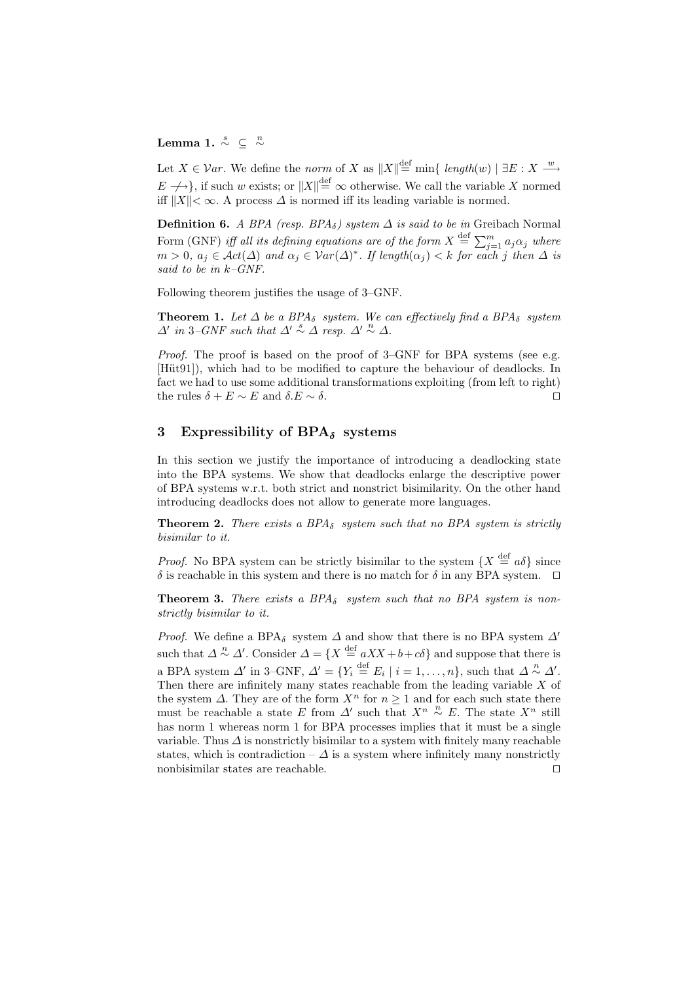# Lemma 1.  $\stackrel{s}{\sim} \ \subseteq \ \stackrel{n}{\sim}$

Let  $X \in \mathcal{V}ar$ . We define the *norm* of X as  $||X|| \stackrel{\text{def}}{=} \min\{ \text{ length}(w) \mid \exists E : X \stackrel{w}{\longrightarrow} \}$  $E \rightarrow$ }, if such w exists; or  $||X|| \stackrel{\text{def}}{=} \infty$  otherwise. We call the variable X normed iff  $||X|| < \infty$ . A process  $\Delta$  is normed iff its leading variable is normed.

**Definition 6.** *A BPA (resp. BPA* $_{\delta}$ ) system  $\Delta$  *is said to be in* Greibach Normal Form (GNF) *iff all its defining equations are of the form*  $X \stackrel{\text{def}}{=} \sum_{j=1}^{m} a_j \alpha_j$  where  $m > 0$ ,  $a_j \in \mathcal{A}ct(\Delta)$  and  $\alpha_j \in \mathcal{V}ar(\Delta)^*$ . If length $(\alpha_j) < k$  for each j then  $\Delta$  is *said to be in* k*–GNF.*

Following theorem justifies the usage of 3–GNF.

**Theorem 1.** Let  $\Delta$  be a BPA<sub>δ</sub> system. We can effectively find a BPA<sub>δ</sub> system  $\Delta'$  in 3–GNF such that  $\Delta' \stackrel{s}{\sim} \Delta$  resp.  $\Delta' \stackrel{n}{\sim} \Delta$ .

*Proof.* The proof is based on the proof of 3–GNF for BPA systems (see e.g. [Hüt91]), which had to be modified to capture the behaviour of deadlocks. In fact we had to use some additional transformations exploiting (from left to right) the rules  $\delta + E \sim E$  and  $\delta.E \sim \delta$ .

# **3 Expressibility of BPA***<sup>δ</sup>* **systems**

In this section we justify the importance of introducing a deadlocking state into the BPA systems. We show that deadlocks enlarge the descriptive power of BPA systems w.r.t. both strict and nonstrict bisimilarity. On the other hand introducing deadlocks does not allow to generate more languages.

**Theorem 2.** *There exists a BPA* $_{\delta}$  *system such that no BPA system is strictly bisimilar to it.*

*Proof.* No BPA system can be strictly bisimilar to the system  $\{X \stackrel{\text{def}}{=} a\delta\}$  since δ is reachable in this system and there is no match for δ in any BPA system.  $\Box$ 

**Theorem 3.** *There exists a BPA* $_{\delta}$  *system such that no BPA system is nonstrictly bisimilar to it.*

*Proof.* We define a BPA<sub>δ</sub> system  $\Delta$  and show that there is no BPA system  $\Delta'$ such that  $\Delta \stackrel{n}{\sim} \Delta'$ . Consider  $\Delta = \{X \stackrel{\text{def}}{=} aXX + b + c\delta\}$  and suppose that there is a BPA system  $\Delta'$  in 3–GNF,  $\Delta' = \{Y_i \stackrel{\text{def}}{=} E_i \mid i = 1, \ldots, n\}$ , such that  $\Delta \stackrel{n}{\sim} \Delta'$ . Then there are infinitely many states reachable from the leading variable  $X$  of the system  $\Delta$ . They are of the form  $X^n$  for  $n \geq 1$  and for each such state there must be reachable a state E from  $\Delta'$  such that  $X^n \overset{n}{\sim} E$ . The state  $X^n$  still has norm 1 whereas norm 1 for BPA processes implies that it must be a single variable. Thus  $\Delta$  is nonstrictly bisimilar to a system with finitely many reachable states, which is contradiction –  $\Delta$  is a system where infinitely many nonstrictly nonbisimilar states are reachable.  $\Box$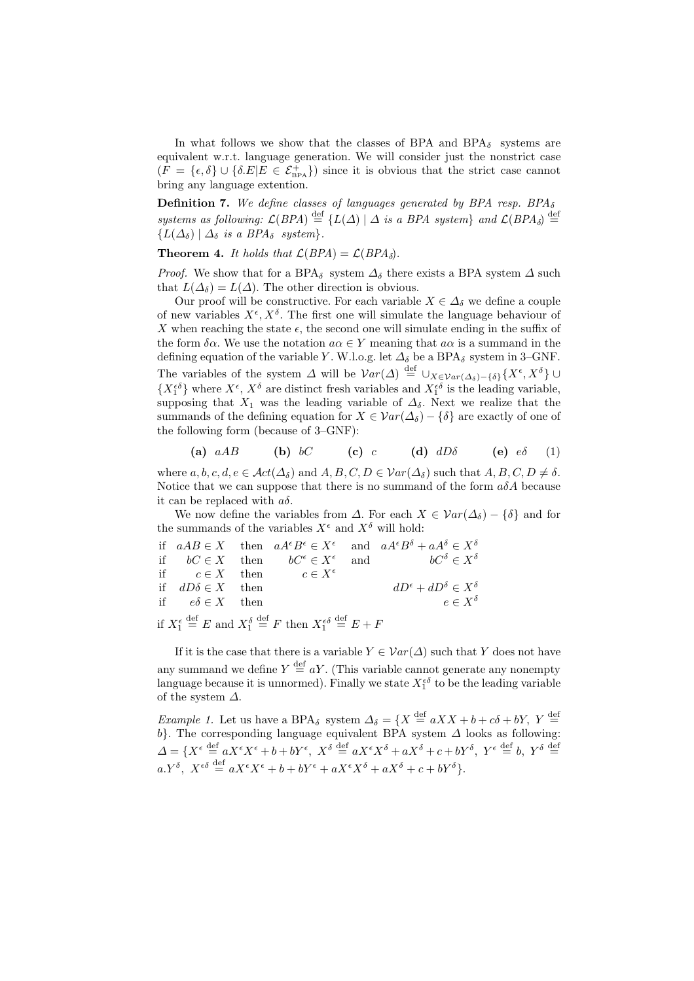In what follows we show that the classes of BPA and  $BPA_{\delta}$  systems are equivalent w.r.t. language generation. We will consider just the nonstrict case  $(F = \{\epsilon, \delta\} \cup \{\delta.E | E \in \mathcal{E}_{\text{BPA}}^{\dagger}\})$  since it is obvious that the strict case cannot bring any language extention.

**Definition 7.** We define classes of languages generated by BPA resp. BPA<sub>δ</sub> *systems as following:*  $\mathcal{L}(BPA) \stackrel{\text{def}}{=} \{L(\Delta) | \Delta \text{ is a } BPA \text{ system}\}$  and  $\mathcal{L}(BPA_{\delta}) \stackrel{\text{def}}{=}$  ${L(\Delta_{\delta}) | \Delta_{\delta} \text{ is a } BPA_{\delta} \text{ system}}.$ 

**Theorem 4.** *It holds that*  $\mathcal{L}(BPA) = \mathcal{L}(BPA)\delta$ *.* 

*Proof.* We show that for a BPA<sub>δ</sub> system  $\Delta_{\delta}$  there exists a BPA system  $\Delta$  such that  $L(\Delta_{\delta}) = L(\Delta)$ . The other direction is obvious.

Our proof will be constructive. For each variable  $X \in \Delta_{\delta}$  we define a couple of new variables  $X^{\epsilon}$ ,  $X^{\delta}$ . The first one will simulate the language behaviour of X when reaching the state  $\epsilon$ , the second one will simulate ending in the suffix of the form  $\delta \alpha$ . We use the notation  $a \alpha \in Y$  meaning that  $a \alpha$  is a summand in the defining equation of the variable Y. W.l.o.g. let  $\Delta_{\delta}$  be a BPA<sub>δ</sub> system in 3–GNF. The variables of the system  $\Delta$  will be  $Var(\Delta) \stackrel{\text{def}}{=} \cup_{X \in \mathcal{Var}(\Delta_{\delta}) - {\{\delta\}}}\{X^{\epsilon}, X^{\delta}\}$  $\{X_1^{\epsilon\delta}\}\$  where  $X^{\epsilon}$ ,  $X^{\delta}\$  are distinct fresh variables and  $X_1^{\epsilon\delta}\$  is the leading variable, supposing that  $X_1$  was the leading variable of  $\Delta_{\delta}$ . Next we realize that the summands of the defining equation for  $X \in \mathcal{V}ar(\Delta_{\delta}) - {\delta}$  are exactly of one of the following form (because of 3–GNF):

(a) 
$$
aAB
$$
 (b)  $bC$  (c) c (d)  $dD\delta$  (e)  $e\delta$  (1)

where  $a, b, c, d, e \in \mathcal{A}ct(\Delta_{\delta})$  and  $A, B, C, D \in \mathcal{V}ar(\Delta_{\delta})$  such that  $A, B, C, D \neq \delta$ . Notice that we can suppose that there is no summand of the form  $a\delta A$  because it can be replaced with  $a\delta$ .

We now define the variables from  $\Delta$ . For each  $X \in \mathcal{V}ar(\Delta_{\delta}) - {\delta}$  and for the summands of the variables  $X^\epsilon$  and  $X^\delta$  will hold:

|                          |                                        | if $aAB \in X$ then $aA^{\epsilon}B^{\epsilon} \in X^{\epsilon}$ and $aA^{\epsilon}B^{\delta} + aA^{\delta} \in X^{\delta}$ |
|--------------------------|----------------------------------------|-----------------------------------------------------------------------------------------------------------------------------|
|                          |                                        | if $bC \in X$ then $bC^{\epsilon} \in X^{\epsilon}$ and $bC^{\delta} \in X^{\delta}$                                        |
|                          | if $c \in X$ then $c \in X^{\epsilon}$ |                                                                                                                             |
| if $dD\delta \in X$ then |                                        | $dD^{\epsilon} + dD^{\delta} \in X^{\delta}$                                                                                |
| if $e\delta \in X$ then  |                                        | $e \in X^{\delta}$                                                                                                          |
|                          |                                        |                                                                                                                             |

if  $X_1^{\epsilon}$  $\stackrel{\text{def}}{=} E$  and  $X_1^{\delta}$  $\stackrel{\text{def}}{=} F$  then  $X_1^{\epsilon \delta}$  $\stackrel{\text{def}}{=} E + F$ 

If it is the case that there is a variable  $Y \in \mathcal{V}ar(\Delta)$  such that Y does not have any summand we define  $Y \stackrel{\text{def}}{=} aY$ . (This variable cannot generate any nonempty language because it is unnormed). Finally we state  $X_1^{\epsilon\delta}$  to be the leading variable of the system  $\Delta$ .

*Example 1.* Let us have a BPA<sub>δ</sub> system  $\Delta_{\delta} = \{X \stackrel{\text{def}}{=} aXX + b + c\delta + bY, Y \stackrel{\text{def}}{=}$  $b$ . The corresponding language equivalent BPA system  $\Delta$  looks as following:  $\Delta = \{X^{\epsilon} \stackrel{\text{def}}{=} aX^{\epsilon}X^{\epsilon} + b + bY^{\epsilon}, X^{\delta} \stackrel{\text{def}}{=} aX^{\epsilon}X^{\delta} + aX^{\delta} + c + bY^{\delta}, Y^{\epsilon} \stackrel{\text{def}}{=} b, Y^{\delta} \stackrel{\text{def}}{=} b\}$  $a.Y^{\delta}, X^{\epsilon\delta} \stackrel{\text{def}}{=} aX^{\epsilon}X^{\epsilon} + b + bY^{\epsilon} + aX^{\epsilon}X^{\delta} + aX^{\delta} + c + bY^{\delta}$ .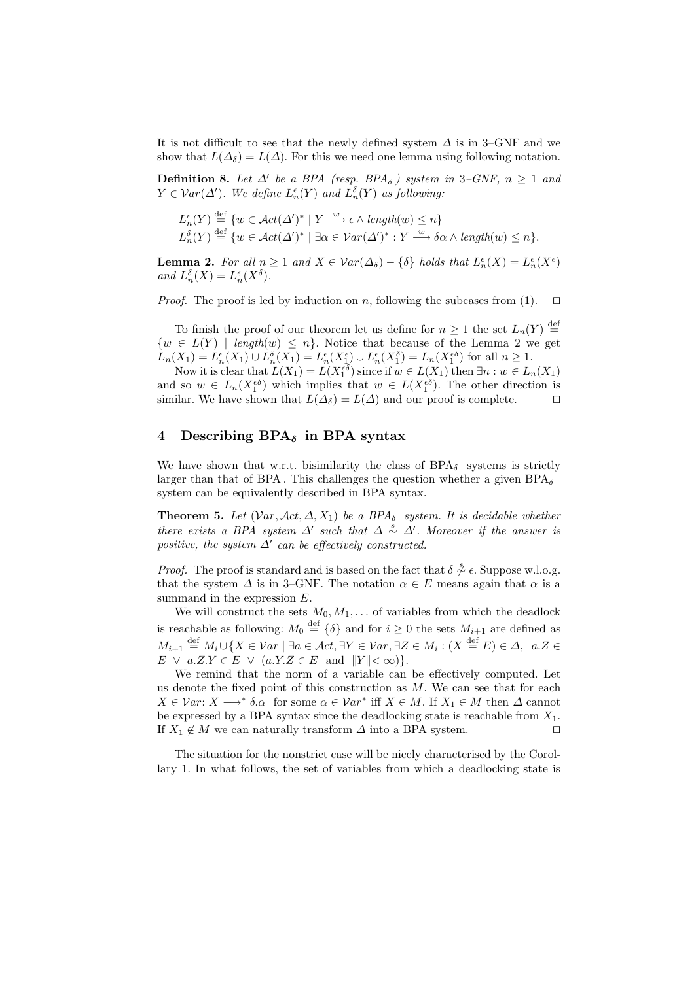It is not difficult to see that the newly defined system  $\Delta$  is in 3–GNF and we show that  $L(\Delta_{\delta}) = L(\Delta)$ . For this we need one lemma using following notation.

**Definition 8.** Let  $\Delta'$  be a BPA (resp. BPA<sub>δ</sub>) system in 3–GNF,  $n \geq 1$  and  $Y \in Var(\Delta')$ . We define  $L_n^{\epsilon}(Y)$  and  $L_n^{\delta}(Y)$  as following:

$$
L_n^{\epsilon}(Y) \stackrel{\text{def}}{=} \{ w \in \text{Act}(\Delta')^* \mid Y \xrightarrow{w} \epsilon \wedge \text{length}(w) \le n \}
$$
  

$$
L_n^{\delta}(Y) \stackrel{\text{def}}{=} \{ w \in \text{Act}(\Delta')^* \mid \exists \alpha \in \text{Var}(\Delta')^* : Y \xrightarrow{w} \delta \alpha \wedge \text{length}(w) \le n \}.
$$

**Lemma 2.** For all  $n \geq 1$  and  $X \in \mathcal{V}ar(\Delta_{\delta}) - {\delta}$  holds that  $L_n^{\epsilon}(X) = L_n^{\epsilon}(X^{\epsilon})$ and  $L_n^{\delta}(X) = L_n^{\epsilon}(X^{\delta}).$ 

*Proof.* The proof is led by induction on n, following the subcases from (1).  $\Box$ 

To finish the proof of our theorem let us define for  $n \geq 1$  the set  $L_n(Y) \stackrel{\text{def}}{=}$  $\{w \in L(Y) \mid \text{length}(w) \leq n\}.$  Notice that because of the Lemma 2 we get  $\hat{L}_n(X_1) = L_n^{\epsilon}(X_1) \cup L_n^{\delta}(X_1) = L_n^{\epsilon}(X_1^{\epsilon}) \cup L_n^{\epsilon}(X_1^{\delta}) = L_n(X_1^{\epsilon\delta})$  for all  $n \geq 1$ .

Now it is clear that  $L(X_1) = L(X_1^{\epsilon \delta})$  since if  $w \in L(X_1)$  then  $\exists n : w \in L_n(X_1)$ and so  $w \in L_n(X_1^{\epsilon \delta})$  which implies that  $w \in L(X_1^{\epsilon \delta})$ . The other direction is similar. We have shown that  $L(\Delta_{\delta}) = L(\Delta)$  and our proof is complete.  $\square$ 

# **4 Describing BPA***<sup>δ</sup>* **in BPA syntax**

We have shown that w.r.t. bisimilarity the class of  $BPA_{\delta}$  systems is strictly larger than that of BPA. This challenges the question whether a given  $BPA_{\delta}$ system can be equivalently described in BPA syntax.

**Theorem 5.** Let  $(Var, \mathcal{A}ct, \Delta, X_1)$  be a BPA<sub>δ</sub> system. It is decidable whether *there exists a BPA system*  $\Delta'$  *such that*  $\Delta \stackrel{s}{\sim} \Delta'$ *. Moreover if the answer is positive, the system*  $\Delta'$  *can be effectively constructed.* 

*Proof.* The proof is standard and is based on the fact that  $\delta \overset{\delta}{\sim} \epsilon$ . Suppose w.l.o.g. that the system  $\Delta$  is in 3–GNF. The notation  $\alpha \in E$  means again that  $\alpha$  is a summand in the expression  $E$ .

We will construct the sets  $M_0, M_1, \ldots$  of variables from which the deadlock is reachable as following:  $M_0 \stackrel{\text{def}}{=} \{ \delta \}$  and for  $i \geq 0$  the sets  $M_{i+1}$  are defined as  $M_{i+1} \stackrel{\text{def}}{=} M_i \cup \{ X \in \mathcal{V}ar \mid \exists a \in \mathcal{A}ct, \exists Y \in \mathcal{V}ar, \exists Z \in M_i : (X \stackrel{\text{def}}{=} E) \in \Delta, a.Z \in$  $E \vee a.Z.Y \in E \vee (a.Y.Z \in E \text{ and } ||Y|| < \infty) \}.$ 

We remind that the norm of a variable can be effectively computed. Let us denote the fixed point of this construction as  $M$ . We can see that for each  $X \in \mathcal{V}ar: X \longrightarrow^* \delta.\alpha$  for some  $\alpha \in \mathcal{V}ar^*$  iff  $X \in M$ . If  $X_1 \in M$  then  $\Delta$  cannot be expressed by a BPA syntax since the deadlocking state is reachable from  $X_1$ . If  $X_1 \notin M$  we can naturally transform  $\Delta$  into a BPA system.  $\square$ 

The situation for the nonstrict case will be nicely characterised by the Corollary 1. In what follows, the set of variables from which a deadlocking state is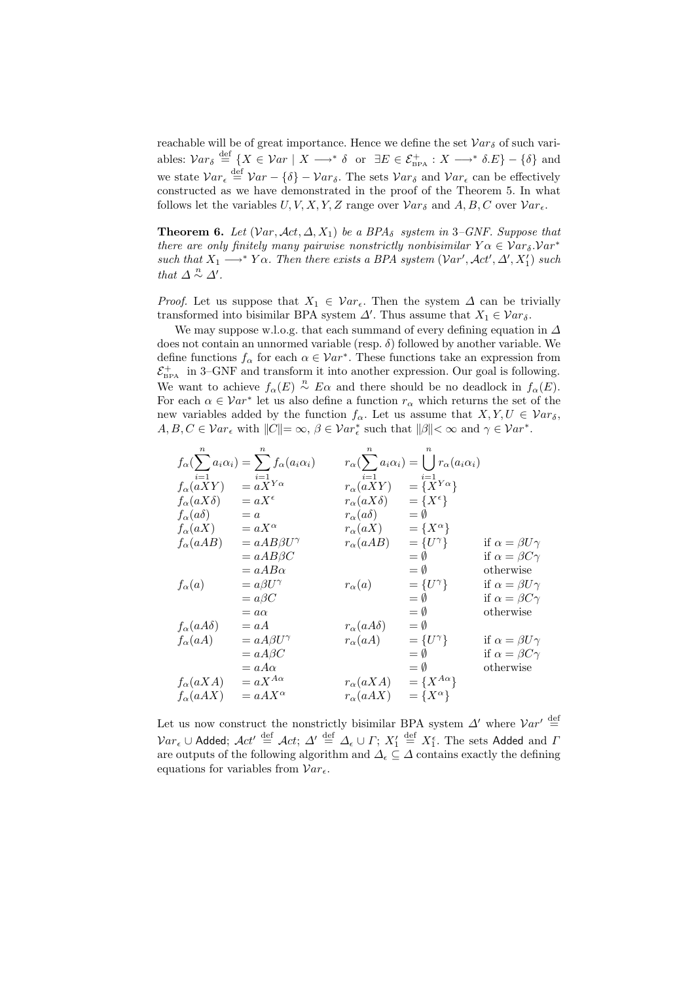reachable will be of great importance. Hence we define the set  $Var_{\delta}$  of such variables:  $Var_{\delta} \stackrel{\text{def}}{=} \{ X \in Var \mid X \longrightarrow^* \delta \text{ or } \exists E \in \mathcal{E}_{\text{BPA}}^+ : X \longrightarrow^* \delta.E \} - \{ \delta \}$  and we state  $Var_{\epsilon} \stackrel{\text{def}}{=} Var - {\delta} - Var_{\delta}$ . The sets  $Var_{\delta}$  and  $Var_{\epsilon}$  can be effectively constructed as we have demonstrated in the proof of the Theorem 5. In what follows let the variables  $U, V, X, Y, Z$  range over  $Var_{\delta}$  and  $A, B, C$  over  $Var_{\epsilon}$ .

**Theorem 6.** Let  $(Var, \text{Act}, \Delta, X_1)$  be a BPA<sub>δ</sub> system in 3–GNF. Suppose that *there are only finitely many pairwise nonstrictly nonbisimilar*  $Y\alpha \in Var_{\delta}$ . Var<sup>\*</sup>  $such that X_1 \longrightarrow^* Y\alpha$ . Then there exists a BPA system  $(Var', \mathcal{A}ct', \Delta', X'_1)$  such *that*  $\Delta \stackrel{n}{\sim} \Delta'$ .

*Proof.* Let us suppose that  $X_1 \in \mathcal{V}ar_{\epsilon}$ . Then the system  $\Delta$  can be trivially transformed into bisimilar BPA system  $\Delta'$ . Thus assume that  $X_1 \in \mathcal{V}ar_{\delta}$ .

We may suppose w.l.o.g. that each summand of every defining equation in  $\Delta$ does not contain an unnormed variable (resp.  $\delta$ ) followed by another variable. We define functions  $f_{\alpha}$  for each  $\alpha \in Var^*$ . These functions take an expression from  $\mathcal{E}^+_{\text{\tiny BPA}}$  in 3–GNF and transform it into another expression. Our goal is following. We want to achieve  $f_{\alpha}(E) \stackrel{n}{\sim} E\alpha$  and there should be no deadlock in  $f_{\alpha}(E)$ . For each  $\alpha \in Var^*$  let us also define a function  $r_\alpha$  which returns the set of the new variables added by the function  $f_{\alpha}$ . Let us assume that  $X, Y, U \in Var_{\delta}$ ,  $A, B, C \in \mathcal{V}ar_{\epsilon}$  with  $||C|| = \infty$ ,  $\beta \in \mathcal{V}ar_{\epsilon}^{*}$  such that  $||\beta|| < \infty$  and  $\gamma \in \mathcal{V}ar^{*}$ .

$$
f_{\alpha}(\sum_{i=1}^{n} a_{i}\alpha_{i}) = \sum_{i=1}^{n} f_{\alpha}(a_{i}\alpha_{i}) \qquad r_{\alpha}(\sum_{i=1}^{n} a_{i}\alpha_{i}) = \bigcup_{i=1}^{n} r_{\alpha}(a_{i}\alpha_{i})
$$
  
\n
$$
f_{\alpha}(aXY) = aX^{\epsilon} \qquad r_{\alpha}(aXY) = \{X^{\epsilon}\}
$$
  
\n
$$
f_{\alpha}(a\delta) = a \qquad r_{\alpha}(a\delta) = \emptyset
$$
  
\n
$$
f_{\alpha}(aA) = aX^{\alpha} \qquad r_{\alpha}(aX) = \{X^{\alpha}\}
$$
  
\n
$$
f_{\alpha}(aAB) = aAB\beta U^{\gamma} \qquad r_{\alpha}(aAB) = \{U^{\gamma}\}
$$
  
\n
$$
= aAB\beta C \qquad r_{\alpha}(a)
$$
  
\n
$$
f_{\alpha}(a) = a\beta U^{\gamma} \qquad \text{if } \alpha = \beta U^{\gamma}
$$
  
\n
$$
= a\beta C \qquad r_{\alpha}(a) = \{U^{\gamma}\}
$$
  
\n
$$
f_{\alpha}(a)
$$
  
\n
$$
f_{\alpha}(a)
$$
  
\n
$$
= a\beta C \qquad \text{otherwise}
$$
  
\n
$$
f_{\alpha}(aA\delta) = aA \qquad r_{\alpha}(aA\delta) = \emptyset
$$
  
\n
$$
f_{\alpha}(aA\delta) = aA \qquad r_{\alpha}(aA\delta) = \emptyset
$$
  
\n
$$
f_{\alpha}(aA) = aA\beta U^{\gamma} \qquad r_{\alpha}(aA) = \{U^{\gamma}\}
$$
  
\nif  $\alpha = \beta C\gamma$   
\n
$$
f_{\alpha}(aA) = aA\beta C \qquad r_{\alpha}(aA) = \{U^{\gamma}\}
$$
  
\nif  $\alpha = \beta U^{\gamma}$   
\n
$$
f_{\alpha}(aXA) = aX^{A\alpha} \qquad r_{\alpha}(aXA) = \{X^{A\alpha}\}
$$
  
\n
$$
f_{\alpha}(aAX) = aAX^{\alpha} \qquad r_{\alpha}(aXX) = \{X^{\alpha}\}
$$

Let us now construct the nonstrictly bisimilar BPA system  $\Delta'$  where  $Var' \stackrel{\text{def}}{=}$  $Var_{\epsilon} \cup$  Added;  $\mathcal{A}ct' \stackrel{\mathrm{def}}{=} \mathcal{A}ct$ ;  $\varDelta' \stackrel{\mathrm{def}}{=} \varDelta_{\epsilon} \cup \varGamma; X_1'$  $\stackrel{\text{def}}{=} X_1^{\epsilon}$ . The sets Added and  $\Gamma$ are outputs of the following algorithm and  $\Delta_{\epsilon} \subseteq \Delta$  contains exactly the defining equations for variables from  $Var_{\epsilon}$ .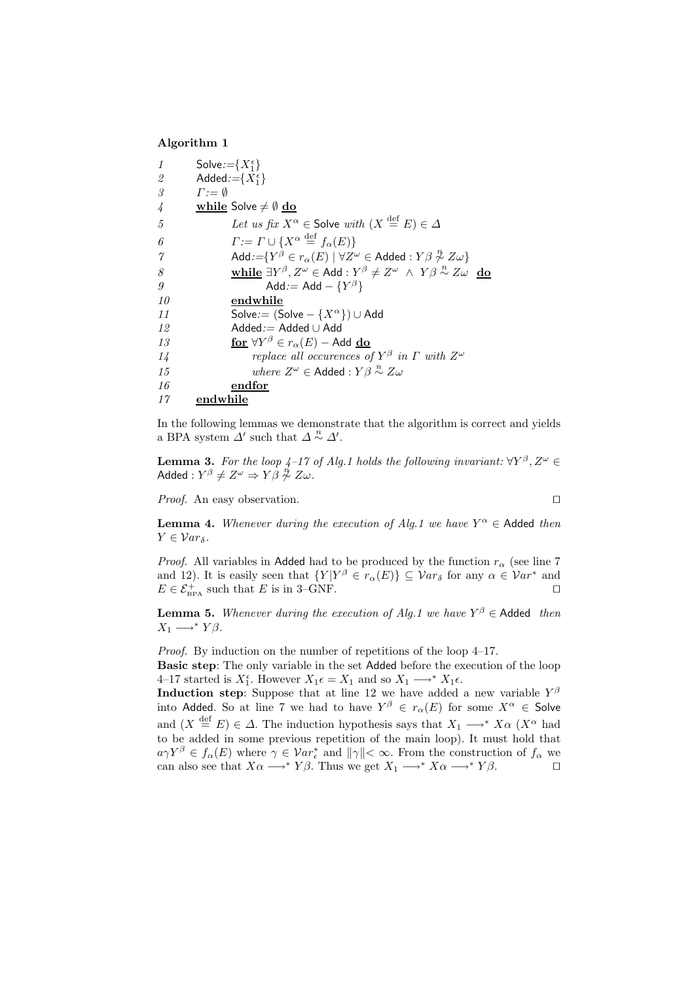#### **Algorithm 1**

| 1             | Solve:= $\{X_1^{\epsilon}\}\$                                                                                                |
|---------------|------------------------------------------------------------------------------------------------------------------------------|
| 2             | Added:= $\{X_1^{\epsilon}\}\$                                                                                                |
| 3             | $\Gamma := \emptyset$                                                                                                        |
| $\frac{1}{4}$ | while Solve $\neq \emptyset$ do                                                                                              |
| 5             | Let us fix $X^{\alpha} \in$ Solve with $(X \stackrel{\text{def}}{=} E) \in \Delta$                                           |
| 6             | $\Gamma := \Gamma \cup \{X^{\alpha} \stackrel{\text{def}}{=} f_{\alpha}(E)\}\$                                               |
| $\gamma$      | Add:= $\{Y^{\beta} \in r_{\alpha}(E) \mid \forall Z^{\omega} \in \mathsf{A}$ dded: $Y\beta \not\sim Z\omega\}$               |
| 8             | while $\exists Y^{\beta}, Z^{\omega} \in \text{Add}: Y^{\beta} \neq Z^{\omega} \land Y \beta \stackrel{n}{\sim} Z \omega$ do |
| 9             | Add:= Add $-\{Y^{\beta}\}\$                                                                                                  |
| 10            | endwhile                                                                                                                     |
| 11            | Solve:= $(Solve - \{X^{\alpha}\}) \cup Add$                                                                                  |
| 12            | $Added := Added \cup Add$                                                                                                    |
| 13            | for $\forall Y^{\beta} \in r_{\alpha}(E)$ – Add do                                                                           |
| 14            | replace all occurences of $Y^{\beta}$ in $\Gamma$ with $Z^{\omega}$                                                          |
| 15            | where $Z^{\omega} \in$ Added : $Y\beta \overset{n}{\sim} Z\omega$                                                            |
| 16            | endfor                                                                                                                       |
| 17            | endwhile                                                                                                                     |

In the following lemmas we demonstrate that the algorithm is correct and yields a BPA system  $\Delta'$  such that  $\Delta \stackrel{n}{\sim} \Delta'$ .

**Lemma 3.** *For the loop 4–17 of Alg.1 holds the following invariant:*  $\forall Y^{\beta}, Z^{\omega} \in$  $\mathsf{A d d e d} : Y^\beta \neq Z^\omega \Rightarrow Y \dot{\beta} \stackrel{\dot{\eta}}{\not\sim} Z \omega$  .

*Proof.* An easy observation.  $\Box$ 

**Lemma 4.** *Whenever during the execution of Alg.1 we have*  $Y^{\alpha} \in$  Added *then*  $Y \in Var_{\delta}$ .

*Proof.* All variables in Added had to be produced by the function  $r_{\alpha}$  (see line 7) and 12). It is easily seen that  $\{Y | Y^{\beta} \in r_{\alpha}(E)\}\subseteq Var_{\delta}$  for any  $\alpha \in Var^*$  and  $E \in \mathcal{E}_{\text{BPA}}^+$  such that E is in 3–GNF.

**Lemma 5.** *Whenever during the execution of Alg.1 we have*  $Y^{\beta} \in$  Added *then*  $X_1 \longrightarrow^* Y\beta.$ 

*Proof.* By induction on the number of repetitions of the loop  $4-17$ . **Basic step**: The only variable in the set Added before the execution of the loop 4–17 started is  $X_1^{\epsilon}$ . However  $X_1 \epsilon = X_1$  and so  $X_1 \longrightarrow^* X_1 \epsilon$ .

**Induction step**: Suppose that at line 12 we have added a new variable  $Y^{\beta}$ into Added. So at line 7 we had to have  $Y^{\beta} \in r_{\alpha}(E)$  for some  $X^{\alpha} \in$  Solve and  $(X \stackrel{\text{def}}{=} E) \in \Delta$ . The induction hypothesis says that  $X_1 \longrightarrow^* X\alpha$   $(X^{\alpha})$  had to be added in some previous repetition of the main loop). It must hold that  $a\gamma Y^{\beta} \in f_{\alpha}(E)$  where  $\gamma \in Var_{\epsilon}^*$  and  $\|\gamma\| < \infty$ . From the construction of  $f_{\alpha}$  we can also see that  $X\alpha \longrightarrow^* Y\beta$ . Thus we get  $X_1 \longrightarrow^* X\alpha \longrightarrow^* Y\beta$ .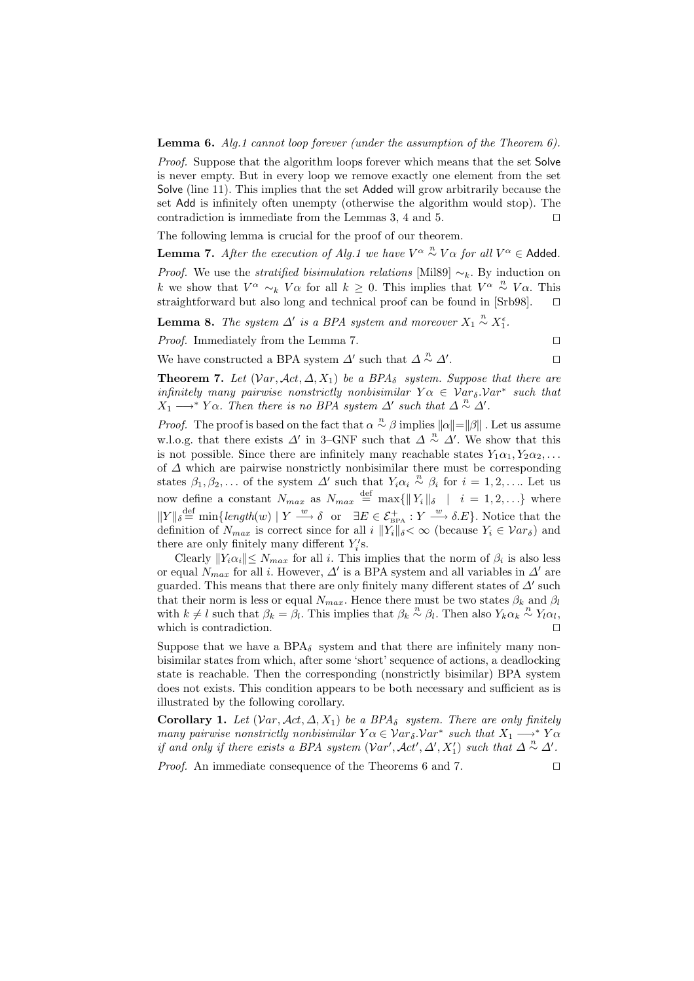**Lemma 6.** *Alg.1 cannot loop forever (under the assumption of the Theorem 6).*

*Proof.* Suppose that the algorithm loops forever which means that the set Solve is never empty. But in every loop we remove exactly one element from the set Solve (line 11). This implies that the set Added will grow arbitrarily because the set Add is infinitely often unempty (otherwise the algorithm would stop). The contradiction is immediate from the Lemmas 3, 4 and 5.  $\Box$ 

The following lemma is crucial for the proof of our theorem.

**Lemma 7.** *After the execution of Alg.1 we have*  $V^{\alpha} \sim N^{\alpha}$  *for all*  $V^{\alpha} \in$  Added. *Proof.* We use the *stratified bisimulation relations* [Mil89]  $\sim_k$ . By induction on k we show that  $V^{\alpha} \sim_k V \alpha$  for all  $k \geq 0$ . This implies that  $V^{\alpha} \sim N^{\alpha} V \alpha$ . This straightforward but also long and technical proof can be found in [Srb98].  $\square$ 

**Lemma 8.** The system  $\Delta'$  is a BPA system and moreover  $X_1 \overset{n}{\sim} X_1^{\epsilon}$ .

*Proof.* Immediately from the Lemma 7.  $\Box$ 

We have constructed a BPA system  $\varDelta'$  such that  $\varDelta\stackrel{n}{\sim}\varDelta'$ . The contract of  $\Box$ 

**Theorem 7.** *Let*  $(Var, \text{Act}, \Delta, X_1)$  *be a BPA*<sub>δ</sub> *system. Suppose that there are infinitely many pairwise nonstrictly nonbisimilar*  $Y\alpha \in Var_{\delta}$ . Var<sup>\*</sup> *such that*  $X_1 \longrightarrow^* Y\alpha$ . Then there is no BPA system  $\Delta'$  such that  $\Delta \overset{n}{\sim} \Delta'$ .

*Proof.* The proof is based on the fact that  $\alpha \stackrel{n}{\sim} \beta$  implies  $||\alpha|| = ||\beta||$ . Let us assume w.l.o.g. that there exists  $\Delta'$  in 3–GNF such that  $\Delta \stackrel{n}{\sim} \Delta'$ . We show that this is not possible. Since there are infinitely many reachable states  $Y_1\alpha_1, Y_2\alpha_2, \ldots$ of  $\Delta$  which are pairwise nonstrictly nonbisimilar there must be corresponding states  $\beta_1, \beta_2, \ldots$  of the system  $\Delta'$  such that  $Y_i \alpha_i \overset{n}{\sim} \beta_i$  for  $i = 1, 2, \ldots$  Let us now define a constant  $N_{max}$  as  $N_{max} \stackrel{\text{def}}{=} \max\{||Y_i||_{\delta} \mid i = 1, 2, ...\}$  where  $||Y||_{\delta} \stackrel{\text{def}}{=} \min\{\text{length}(w) \mid Y \stackrel{w}{\longrightarrow} \delta \text{ or } \exists E \in \mathcal{E}_{\text{BPA}}^+ : Y \stackrel{w}{\longrightarrow} \delta.E\}.$  Notice that the definition of  $N_{max}$  is correct since for all i  $||Y_i||_{\delta} < \infty$  (because  $Y_i \in Var_{\delta}$ ) and there are only finitely many different  $Y_i$ 's.

Clearly  $||Y_i \alpha_i|| \le N_{max}$  for all i. This implies that the norm of  $\beta_i$  is also less or equal  $N_{max}$  for all i. However,  $\Delta'$  is a BPA system and all variables in  $\Delta'$  are guarded. This means that there are only finitely many different states of  $\Delta'$  such that their norm is less or equal  $N_{max}$ . Hence there must be two states  $\beta_k$  and  $\beta_l$ with  $k \neq l$  such that  $\beta_k = \beta_l$ . This implies that  $\beta_k \stackrel{n}{\sim} \beta_l$ . Then also  $Y_k \stackrel{n}{\alpha_k} \stackrel{n}{\sim} Y_l \stackrel{n}{\alpha_l}$ , which is contradiction.  $\Box$ 

Suppose that we have a BPA $_{\delta}$  system and that there are infinitely many nonbisimilar states from which, after some 'short' sequence of actions, a deadlocking state is reachable. Then the corresponding (nonstrictly bisimilar) BPA system does not exists. This condition appears to be both necessary and sufficient as is illustrated by the following corollary.

**Corollary 1.** *Let*  $(Var, \mathcal{A}ct, \Delta, X_1)$  *be a BPA*<sub>δ</sub> *system. There are only finitely many pairwise nonstrictly nonbisimilar*  $Y \alpha \in \mathcal{V}ar_{\delta} \mathcal{V}ar^*$  *such that*  $X_1 \longrightarrow^* Y \alpha$ *if and only if there exists a BPA system*  $(Var', Act', \Delta', X'_1)$  *such that*  $\Delta \stackrel{n}{\sim} \Delta'.$ 

*Proof.* An immediate consequence of the Theorems 6 and 7.  $\Box$